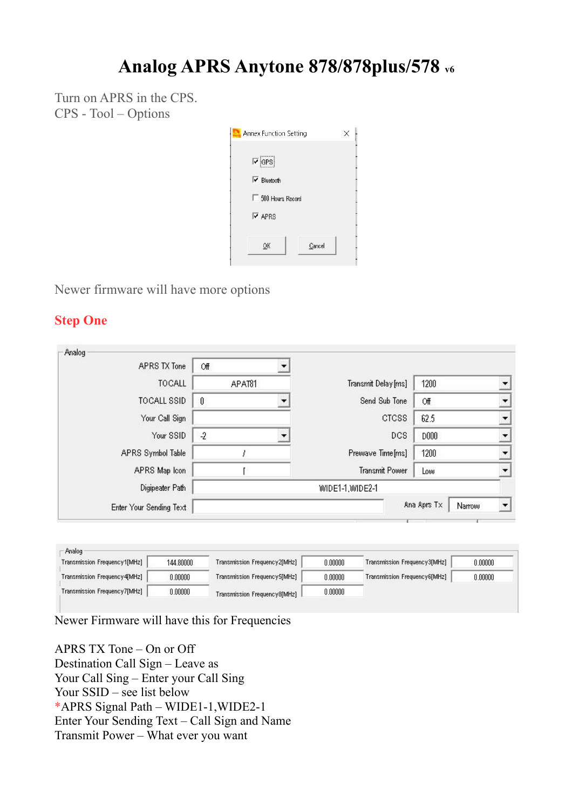# **Analog APRS Anytone 878/878plus/578 v6**

Turn on APRS in the CPS. CPS - Tool – Options

| <b>Annex Function Setting</b>     | ×      |
|-----------------------------------|--------|
| $\overline{v}$ GPS                |        |
| $\overline{\mathbf{v}}$ Bluetooth |        |
| 500 Hours Record<br>п             |        |
| $\overline{\triangledown}$ APRS   |        |
| OK                                | Cancel |

Newer firmware will have more options

### **Step One**

| Analog                  |           |                     |                       |  |
|-------------------------|-----------|---------------------|-----------------------|--|
| APRS TX Tone            | Off       |                     |                       |  |
| <b>TOCALL</b>           | APAT81    | Transmit Delay [ms] | 1200                  |  |
| TOCALL SSID             | $\theta$  | Send Sub Tone       | Off                   |  |
| Your Call Sign          |           | <b>CTCSS</b>        | 62.5                  |  |
| Your SSID               | $\cdot$ 2 | DCS.                | <b>D000</b>           |  |
| APRS Symbol Table       |           | Prewave Time[ms]    | 1200                  |  |
| APRS Map Icon           |           | Transmit Power      | Low                   |  |
| Digipeater Path         |           | WIDE1-1, WIDE2-1    |                       |  |
| Enter Your Sending Text |           |                     | Ana Aprs Tx<br>Narrow |  |

| Transmission Frequency1[MHz]  | 144,80000 | Transmission Frequency2[MHz] | 0.00000 | Transmission Frequency3[MHz] | 0.00000 |
|-------------------------------|-----------|------------------------------|---------|------------------------------|---------|
| Transmission Frequency 4[MHz] | 0.00000   | Transmission Frequency5[MHz] | 0.00000 | Transmission Frequency6[MHz] | 0.00000 |
| Transmission Frequency7[MHz]  | 0.00000   | Transmission Frequency8[MHz] | 0.00000 |                              |         |

Newer Firmware will have this for Frequencies

APRS TX Tone – On or Off Destination Call Sign – Leave as Your Call Sing – Enter your Call Sing Your SSID – see list below \*APRS Signal Path – WIDE1-1,WIDE2-1 Enter Your Sending Text – Call Sign and Name Transmit Power – What ever you want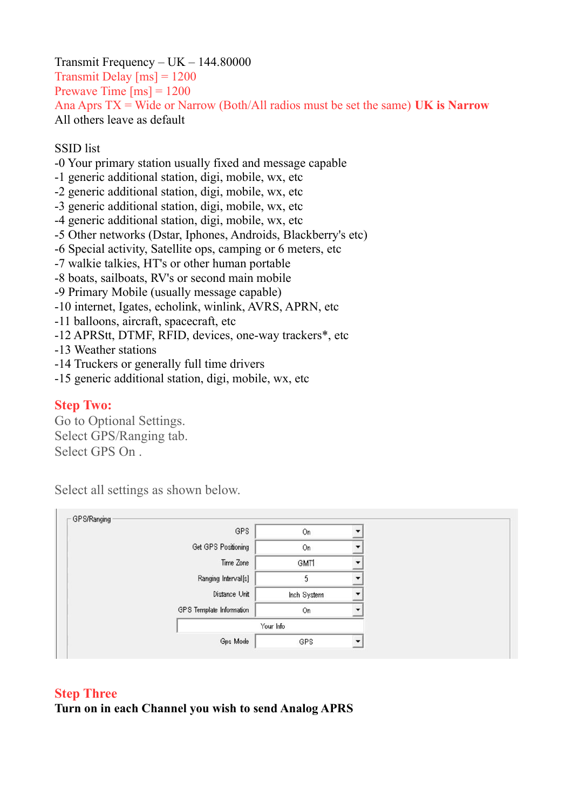Transmit Frequency – UK – 144.80000 Transmit Delay  $\text{[ms]} = 1200$ Prewave Time  $\text{[ms]} = 1200$ Ana Aprs TX = Wide or Narrow (Both/All radios must be set the same) **UK is Narrow** All others leave as default

#### SSID list

- -0 Your primary station usually fixed and message capable
- -1 generic additional station, digi, mobile, wx, etc
- -2 generic additional station, digi, mobile, wx, etc
- -3 generic additional station, digi, mobile, wx, etc
- -4 generic additional station, digi, mobile, wx, etc
- -5 Other networks (Dstar, Iphones, Androids, Blackberry's etc)
- -6 Special activity, Satellite ops, camping or 6 meters, etc
- -7 walkie talkies, HT's or other human portable
- -8 boats, sailboats, RV's or second main mobile
- -9 Primary Mobile (usually message capable)
- -10 internet, Igates, echolink, winlink, AVRS, APRN, etc
- -11 balloons, aircraft, spacecraft, etc
- -12 APRStt, DTMF, RFID, devices, one-way trackers\*, etc
- -13 Weather stations
- -14 Truckers or generally full time drivers
- -15 generic additional station, digi, mobile, wx, etc

#### **Step Two:**

Go to Optional Settings. Select GPS/Ranging tab. Select GPS On .

Select all settings as shown below.

| GPS                      | On          |  |
|--------------------------|-------------|--|
| Get GPS Positioning      | On          |  |
| Time Zone                | GMT1        |  |
| Ranging Interval[s]      | 5           |  |
| Distance Unit            | Inch System |  |
| GPS Template Information | On          |  |
|                          | Your Info   |  |
| Gps Mode                 | GPS         |  |

#### **Step Three**

**Turn on in each Channel you wish to send Analog APRS**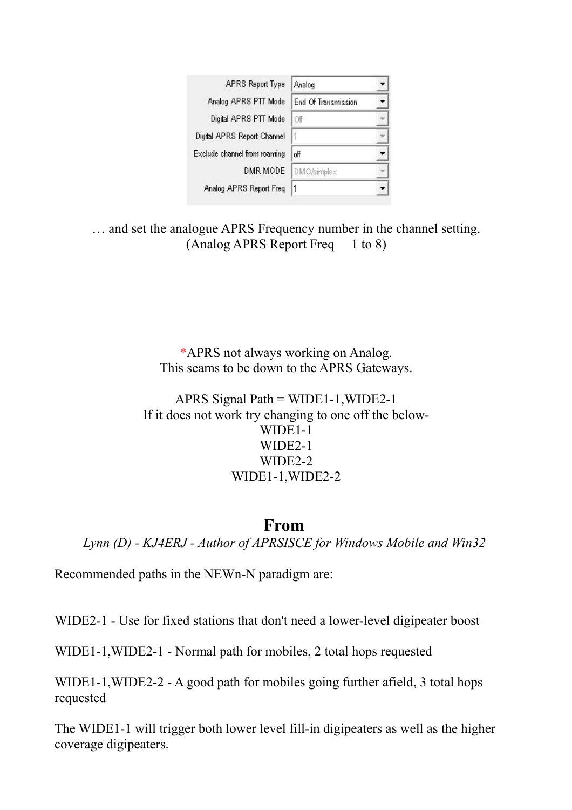| <b>APRS Report Type</b>      | Analog                     |  |
|------------------------------|----------------------------|--|
| Analog APRS PTT Mode         | <b>End Of Transmission</b> |  |
| Digital APRS PTT Mode        | Off                        |  |
| Digital APRS Report Channel  |                            |  |
| Exclude channel from roaming | off                        |  |
| DMR MODE                     | DMO/simplex                |  |
| Analog APRS Report Freq      | 1                          |  |

… and set the analogue APRS Frequency number in the channel setting. (Analog APRS Report Freq 1 to 8)

> \*APRS not always working on Analog. This seams to be down to the APRS Gateways.

APRS Signal Path =  $WIDE1-1, WIDE2-1$ If it does not work try changing to one off the below-WIDE1-1 WIDE2-1 WIDE2-2 WIDE1-1,WIDE2-2

## **From**

*Lynn (D) - KJ4ERJ - Author of APRSISCE for Windows Mobile and Win32*

Recommended paths in the NEWn-N paradigm are:

WIDE2-1 - Use for fixed stations that don't need a lower-level digipeater boost

WIDE1-1,WIDE2-1 - Normal path for mobiles, 2 total hops requested

WIDE1-1,WIDE2-2 - A good path for mobiles going further afield, 3 total hops requested

The WIDE1-1 will trigger both lower level fill-in digipeaters as well as the higher coverage digipeaters.